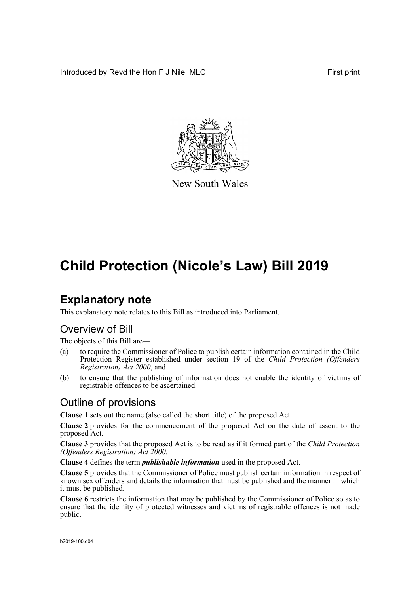Introduced by Revd the Hon F J Nile, MLC First print



New South Wales

## **Child Protection (Nicole's Law) Bill 2019**

## **Explanatory note**

This explanatory note relates to this Bill as introduced into Parliament.

### Overview of Bill

The objects of this Bill are—

- (a) to require the Commissioner of Police to publish certain information contained in the Child Protection Register established under section 19 of the *Child Protection (Offenders Registration) Act 2000*, and
- (b) to ensure that the publishing of information does not enable the identity of victims of registrable offences to be ascertained.

### Outline of provisions

**Clause 1** sets out the name (also called the short title) of the proposed Act.

**Clause 2** provides for the commencement of the proposed Act on the date of assent to the proposed Act.

**Clause 3** provides that the proposed Act is to be read as if it formed part of the *Child Protection (Offenders Registration) Act 2000*.

**Clause 4** defines the term *publishable information* used in the proposed Act.

**Clause 5** provides that the Commissioner of Police must publish certain information in respect of known sex offenders and details the information that must be published and the manner in which it must be published.

**Clause 6** restricts the information that may be published by the Commissioner of Police so as to ensure that the identity of protected witnesses and victims of registrable offences is not made public.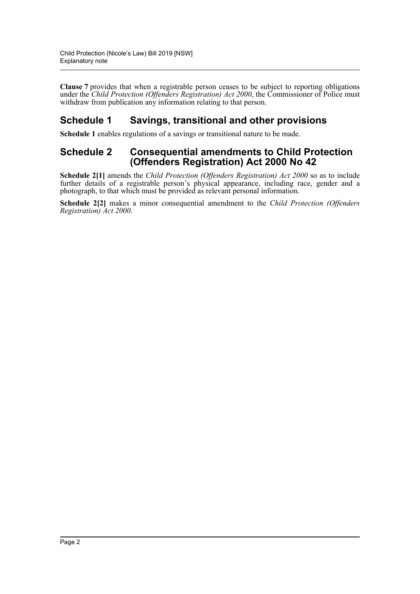**Clause 7** provides that when a registrable person ceases to be subject to reporting obligations under the *Child Protection (Offenders Registration) Act 2000*, the Commissioner of Police must withdraw from publication any information relating to that person.

### **Schedule 1 Savings, transitional and other provisions**

**Schedule 1** enables regulations of a savings or transitional nature to be made.

### **Schedule 2 Consequential amendments to Child Protection (Offenders Registration) Act 2000 No 42**

**Schedule 2[1]** amends the *Child Protection (Offenders Registration) Act 2000* so as to include further details of a registrable person's physical appearance, including race, gender and a photograph, to that which must be provided as relevant personal information.

**Schedule 2[2]** makes a minor consequential amendment to the *Child Protection (Offenders Registration) Act 2000*.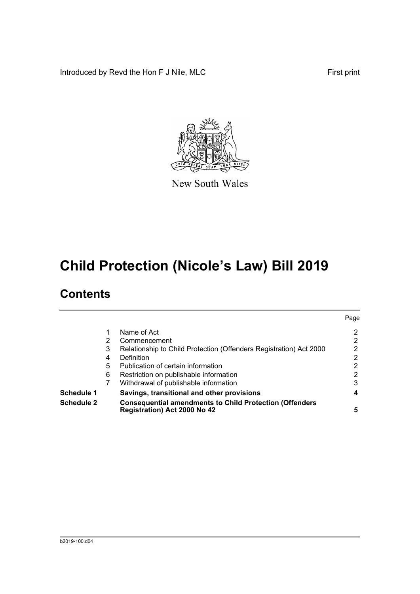Introduced by Revd the Hon F J Nile, MLC First print



New South Wales

# **Child Protection (Nicole's Law) Bill 2019**

### **Contents**

| <b>Schedule 2</b> |   | <b>Consequential amendments to Child Protection (Offenders</b><br>Registration) Act 2000 No 42 | 5              |
|-------------------|---|------------------------------------------------------------------------------------------------|----------------|
| <b>Schedule 1</b> |   | Savings, transitional and other provisions                                                     | 4              |
|                   | 7 | Withdrawal of publishable information                                                          | 3              |
|                   | 6 | Restriction on publishable information                                                         | $\overline{2}$ |
|                   | 5 | Publication of certain information                                                             | 2              |
|                   | 4 | Definition                                                                                     | 2              |
|                   | 3 | Relationship to Child Protection (Offenders Registration) Act 2000                             | $\overline{2}$ |
|                   | 2 | Commencement                                                                                   | $\overline{2}$ |
|                   |   | Name of Act                                                                                    | 2              |
|                   |   |                                                                                                | Page           |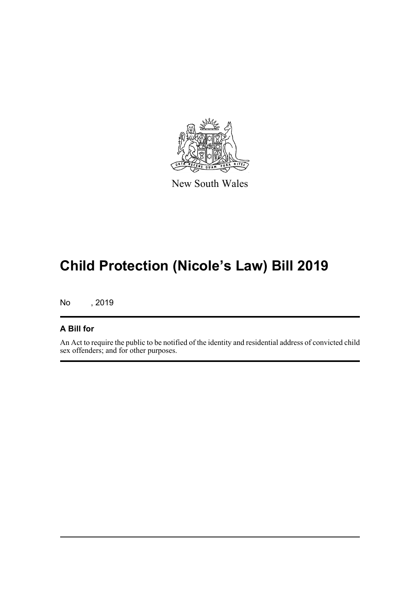

New South Wales

# **Child Protection (Nicole's Law) Bill 2019**

No , 2019

#### **A Bill for**

An Act to require the public to be notified of the identity and residential address of convicted child sex offenders; and for other purposes.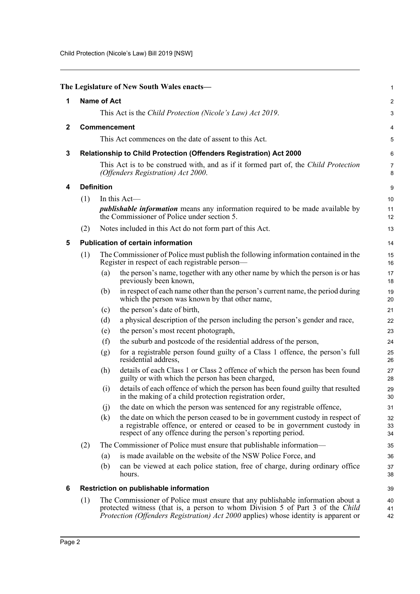<span id="page-4-5"></span><span id="page-4-4"></span><span id="page-4-3"></span><span id="page-4-2"></span><span id="page-4-1"></span><span id="page-4-0"></span>

|              |                                                                                                                           |                                                                                                                                       | The Legislature of New South Wales enacts-                                                                                                                                                                                                                      | 1              |  |  |  |
|--------------|---------------------------------------------------------------------------------------------------------------------------|---------------------------------------------------------------------------------------------------------------------------------------|-----------------------------------------------------------------------------------------------------------------------------------------------------------------------------------------------------------------------------------------------------------------|----------------|--|--|--|
| 1            | <b>Name of Act</b>                                                                                                        |                                                                                                                                       |                                                                                                                                                                                                                                                                 |                |  |  |  |
|              |                                                                                                                           | This Act is the Child Protection (Nicole's Law) Act 2019.                                                                             |                                                                                                                                                                                                                                                                 |                |  |  |  |
| $\mathbf{2}$ | Commencement                                                                                                              |                                                                                                                                       |                                                                                                                                                                                                                                                                 |                |  |  |  |
|              |                                                                                                                           |                                                                                                                                       | This Act commences on the date of assent to this Act.                                                                                                                                                                                                           | 5              |  |  |  |
| 3            |                                                                                                                           |                                                                                                                                       | Relationship to Child Protection (Offenders Registration) Act 2000                                                                                                                                                                                              | $\,6$          |  |  |  |
|              | This Act is to be construed with, and as if it formed part of, the Child Protection<br>(Offenders Registration) Act 2000. |                                                                                                                                       |                                                                                                                                                                                                                                                                 |                |  |  |  |
| 4            | <b>Definition</b>                                                                                                         |                                                                                                                                       |                                                                                                                                                                                                                                                                 |                |  |  |  |
|              | (1)                                                                                                                       |                                                                                                                                       | In this Act-<br><i>publishable information</i> means any information required to be made available by<br>the Commissioner of Police under section 5.                                                                                                            | 10<br>11<br>12 |  |  |  |
|              | (2)                                                                                                                       |                                                                                                                                       | Notes included in this Act do not form part of this Act.                                                                                                                                                                                                        | 13             |  |  |  |
| 5            |                                                                                                                           |                                                                                                                                       | <b>Publication of certain information</b>                                                                                                                                                                                                                       | 14             |  |  |  |
|              | (1)                                                                                                                       | The Commissioner of Police must publish the following information contained in the<br>Register in respect of each registrable person— |                                                                                                                                                                                                                                                                 | 15<br>16       |  |  |  |
|              |                                                                                                                           | (a)                                                                                                                                   | the person's name, together with any other name by which the person is or has<br>previously been known,                                                                                                                                                         | 17<br>18       |  |  |  |
|              |                                                                                                                           | (b)                                                                                                                                   | in respect of each name other than the person's current name, the period during<br>which the person was known by that other name,                                                                                                                               | 19<br>20       |  |  |  |
|              |                                                                                                                           | (c)                                                                                                                                   | the person's date of birth,                                                                                                                                                                                                                                     | 21             |  |  |  |
|              |                                                                                                                           | (d)                                                                                                                                   | a physical description of the person including the person's gender and race,                                                                                                                                                                                    | 22             |  |  |  |
|              |                                                                                                                           | (e)                                                                                                                                   | the person's most recent photograph,                                                                                                                                                                                                                            | 23             |  |  |  |
|              |                                                                                                                           | (f)                                                                                                                                   | the suburb and postcode of the residential address of the person,                                                                                                                                                                                               | 24             |  |  |  |
|              |                                                                                                                           | (g)                                                                                                                                   | for a registrable person found guilty of a Class 1 offence, the person's full<br>residential address,                                                                                                                                                           | 25<br>26       |  |  |  |
|              |                                                                                                                           | (h)                                                                                                                                   | details of each Class 1 or Class 2 offence of which the person has been found<br>guilty or with which the person has been charged,                                                                                                                              | 27<br>28       |  |  |  |
|              |                                                                                                                           | (i)                                                                                                                                   | details of each offence of which the person has been found guilty that resulted<br>in the making of a child protection registration order,                                                                                                                      | 29<br>30       |  |  |  |
|              |                                                                                                                           | (i)                                                                                                                                   | the date on which the person was sentenced for any registrable offence,                                                                                                                                                                                         | 31             |  |  |  |
|              |                                                                                                                           | (k)                                                                                                                                   | the date on which the person ceased to be in government custody in respect of<br>a registrable offence, or entered or ceased to be in government custody in<br>respect of any offence during the person's reporting period.                                     | 32<br>33<br>34 |  |  |  |
|              | (2)                                                                                                                       |                                                                                                                                       | The Commissioner of Police must ensure that publishable information—                                                                                                                                                                                            | 35             |  |  |  |
|              |                                                                                                                           | (a)                                                                                                                                   | is made available on the website of the NSW Police Force, and                                                                                                                                                                                                   | 36             |  |  |  |
|              |                                                                                                                           | (b)                                                                                                                                   | can be viewed at each police station, free of charge, during ordinary office<br>hours.                                                                                                                                                                          | 37<br>38       |  |  |  |
| 6            |                                                                                                                           |                                                                                                                                       | Restriction on publishable information                                                                                                                                                                                                                          | 39             |  |  |  |
|              | (1)                                                                                                                       |                                                                                                                                       | The Commissioner of Police must ensure that any publishable information about a<br>protected witness (that is, a person to whom Division 5 of Part 3 of the Child<br><i>Protection (Offenders Registration) Act 2000</i> applies) whose identity is apparent or | 40<br>41<br>42 |  |  |  |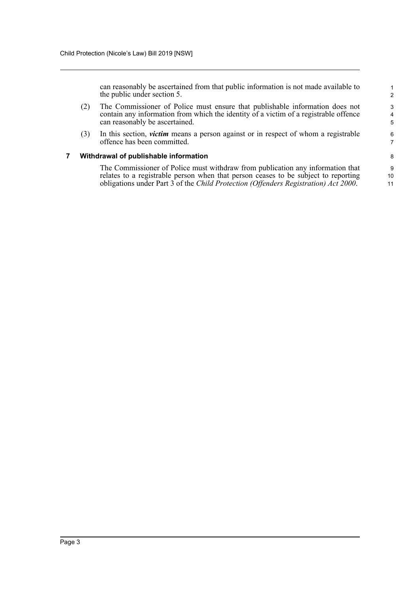can reasonably be ascertained from that public information is not made available to the public under section 5.

- (2) The Commissioner of Police must ensure that publishable information does not contain any information from which the identity of a victim of a registrable offence can reasonably be ascertained.
- (3) In this section, *victim* means a person against or in respect of whom a registrable offence has been committed.

#### <span id="page-5-0"></span>**7 Withdrawal of publishable information**

The Commissioner of Police must withdraw from publication any information that relates to a registrable person when that person ceases to be subject to reporting obligations under Part 3 of the *Child Protection (Offenders Registration) Act 2000*.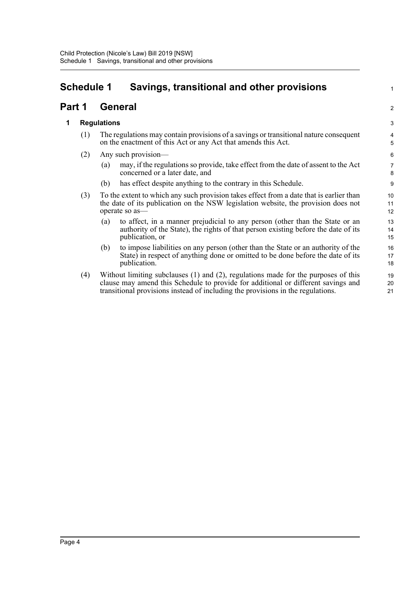### <span id="page-6-0"></span>**Schedule 1 Savings, transitional and other provisions**

### **Part 1 General**

#### **1 Regulations**

- (1) The regulations may contain provisions of a savings or transitional nature consequent on the enactment of this Act or any Act that amends this Act.
- (2) Any such provision—
	- (a) may, if the regulations so provide, take effect from the date of assent to the Act concerned or a later date, and

1

2

- (b) has effect despite anything to the contrary in this Schedule.
- (3) To the extent to which any such provision takes effect from a date that is earlier than the date of its publication on the NSW legislation website, the provision does not operate so as—
	- (a) to affect, in a manner prejudicial to any person (other than the State or an authority of the State), the rights of that person existing before the date of its publication, or
	- (b) to impose liabilities on any person (other than the State or an authority of the State) in respect of anything done or omitted to be done before the date of its publication.
- (4) Without limiting subclauses (1) and (2), regulations made for the purposes of this clause may amend this Schedule to provide for additional or different savings and transitional provisions instead of including the provisions in the regulations.